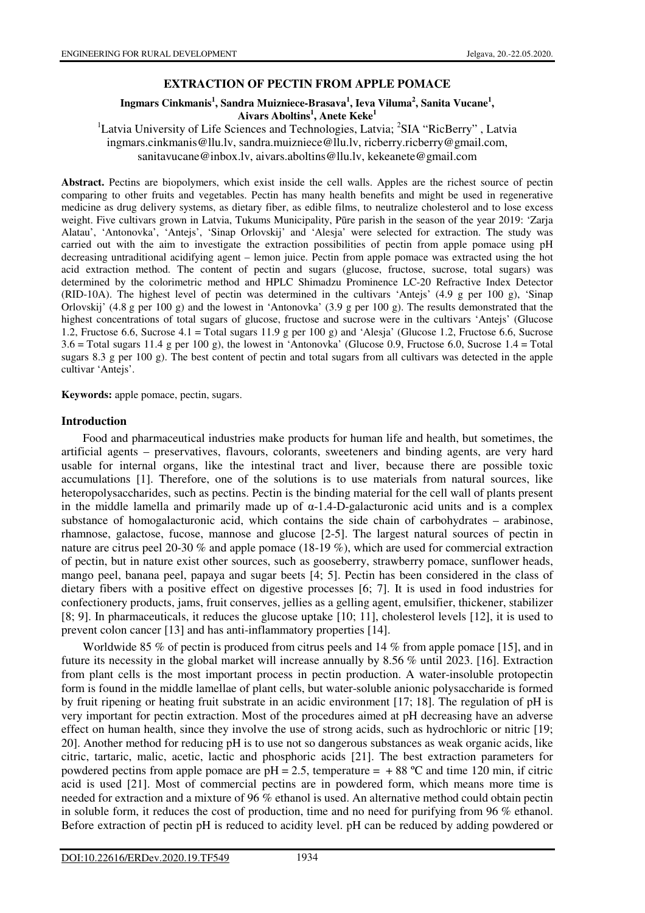# **EXTRACTION OF PECTIN FROM APPLE POMACE**

## Ingmars Cinkmanis<sup>1</sup>, Sandra Muizniece-Brasava<sup>1</sup>, Ieva Viluma<sup>2</sup>, Sanita Vucane<sup>1</sup>, **Aivars Aboltins<sup>1</sup> , Anete Keke<sup>1</sup>**

<sup>1</sup>Latvia University of Life Sciences and Technologies, Latvia; <sup>2</sup>SIA "RicBerry", Latvia ingmars.cinkmanis@llu.lv, sandra.muizniece@llu.lv, ricberry.ricberry@gmail.com, sanitavucane@inbox.lv, aivars.aboltins@llu.lv, kekeanete@gmail.com

**Abstract.** Pectins are biopolymers, which exist inside the cell walls. Apples are the richest source of pectin comparing to other fruits and vegetables. Pectin has many health benefits and might be used in regenerative medicine as drug delivery systems, as dietary fiber, as edible films, to neutralize cholesterol and to lose excess weight. Five cultivars grown in Latvia, Tukums Municipality, Pūre parish in the season of the year 2019: 'Zarja Alatau', 'Antonovka', 'Antejs', 'Sinap Orlovskij' and 'Alesja' were selected for extraction. The study was carried out with the aim to investigate the extraction possibilities of pectin from apple pomace using pH decreasing untraditional acidifying agent – lemon juice. Pectin from apple pomace was extracted using the hot acid extraction method. The content of pectin and sugars (glucose, fructose, sucrose, total sugars) was determined by the colorimetric method and HPLC Shimadzu Prominence LC-20 Refractive Index Detector (RID-10A). The highest level of pectin was determined in the cultivars 'Antejs' (4.9 g per 100 g), 'Sinap Orlovskij' (4.8 g per 100 g) and the lowest in 'Antonovka' (3.9 g per 100 g). The results demonstrated that the highest concentrations of total sugars of glucose, fructose and sucrose were in the cultivars 'Antejs' (Glucose 1.2, Fructose 6.6, Sucrose 4.1 = Total sugars 11.9 g per 100 g) and 'Alesja' (Glucose 1.2, Fructose 6.6, Sucrose 3.6 = Total sugars 11.4 g per 100 g), the lowest in 'Antonovka' (Glucose 0.9, Fructose 6.0, Sucrose 1.4 = Total sugars 8.3 g per 100 g). The best content of pectin and total sugars from all cultivars was detected in the apple cultivar 'Antejs'.

**Keywords:** apple pomace, pectin, sugars.

#### **Introduction**

Food and pharmaceutical industries make products for human life and health, but sometimes, the artificial agents – preservatives, flavours, colorants, sweeteners and binding agents, are very hard usable for internal organs, like the intestinal tract and liver, because there are possible toxic accumulations [1]. Therefore, one of the solutions is to use materials from natural sources, like heteropolysaccharides, such as pectins. Pectin is the binding material for the cell wall of plants present in the middle lamella and primarily made up of  $\alpha$ -1.4-D-galacturonic acid units and is a complex substance of homogalacturonic acid, which contains the side chain of carbohydrates – arabinose, rhamnose, galactose, fucose, mannose and glucose [2-5]. The largest natural sources of pectin in nature are citrus peel 20-30 % and apple pomace (18-19 %), which are used for commercial extraction of pectin, but in nature exist other sources, such as gooseberry, strawberry pomace, sunflower heads, mango peel, banana peel, papaya and sugar beets [4; 5]. Pectin has been considered in the class of dietary fibers with a positive effect on digestive processes [6; 7]. It is used in food industries for confectionery products, jams, fruit conserves, jellies as a gelling agent, emulsifier, thickener, stabilizer [8; 9]. In pharmaceuticals, it reduces the glucose uptake [10; 11], cholesterol levels [12], it is used to prevent colon cancer [13] and has anti-inflammatory properties [14].

Worldwide 85 % of pectin is produced from citrus peels and 14 % from apple pomace [15], and in future its necessity in the global market will increase annually by 8.56 % until 2023. [16]. Extraction from plant cells is the most important process in pectin production. A water-insoluble protopectin form is found in the middle lamellae of plant cells, but water-soluble anionic polysaccharide is formed by fruit ripening or heating fruit substrate in an acidic environment [17; 18]. The regulation of pH is very important for pectin extraction. Most of the procedures aimed at pH decreasing have an adverse effect on human health, since they involve the use of strong acids, such as hydrochloric or nitric [19; 20]. Another method for reducing pH is to use not so dangerous substances as weak organic acids, like citric, tartaric, malic, acetic, lactic and phosphoric acids [21]. The best extraction parameters for powdered pectins from apple pomace are  $pH = 2.5$ , temperature =  $+ 88$  °C and time 120 min, if citric acid is used [21]. Most of commercial pectins are in powdered form, which means more time is needed for extraction and a mixture of 96 % ethanol is used. An alternative method could obtain pectin in soluble form, it reduces the cost of production, time and no need for purifying from 96 % ethanol. Before extraction of pectin pH is reduced to acidity level. pH can be reduced by adding powdered or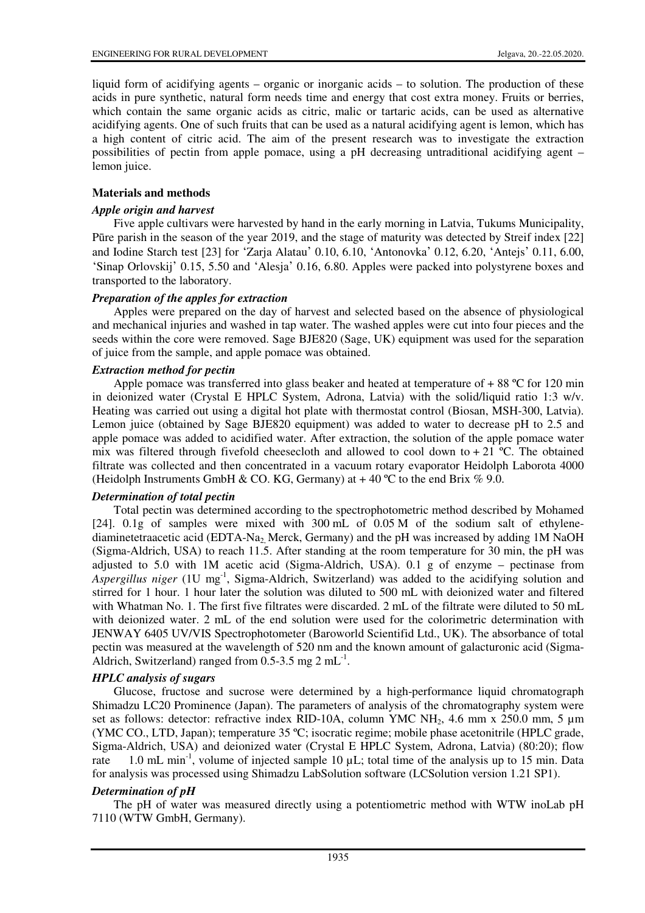liquid form of acidifying agents – organic or inorganic acids – to solution. The production of these acids in pure synthetic, natural form needs time and energy that cost extra money. Fruits or berries, which contain the same organic acids as citric, malic or tartaric acids, can be used as alternative acidifying agents. One of such fruits that can be used as a natural acidifying agent is lemon, which has a high content of citric acid. The aim of the present research was to investigate the extraction possibilities of pectin from apple pomace, using a pH decreasing untraditional acidifying agent – lemon juice.

# **Materials and methods**

## *Apple origin and harvest*

Five apple cultivars were harvested by hand in the early morning in Latvia, Tukums Municipality, Pūre parish in the season of the year 2019, and the stage of maturity was detected by Streif index [22] and Iodine Starch test [23] for 'Zarja Alatau' 0.10, 6.10, 'Antonovka' 0.12, 6.20, 'Antejs' 0.11, 6.00, 'Sinap Orlovskij' 0.15, 5.50 and 'Alesja' 0.16, 6.80. Apples were packed into polystyrene boxes and transported to the laboratory.

## *Preparation of the apples for extraction*

Apples were prepared on the day of harvest and selected based on the absence of physiological and mechanical injuries and washed in tap water. The washed apples were cut into four pieces and the seeds within the core were removed. Sage BJE820 (Sage, UK) equipment was used for the separation of juice from the sample, and apple pomace was obtained.

## *Extraction method for pectin*

Apple pomace was transferred into glass beaker and heated at temperature of  $+ 88 \degree C$  for 120 min in deionized water (Crystal E HPLC System, Adrona, Latvia) with the solid/liquid ratio 1:3 w/v. Heating was carried out using a digital hot plate with thermostat control (Biosan, MSH-300, Latvia). Lemon juice (obtained by Sage BJE820 equipment) was added to water to decrease pH to 2.5 and apple pomace was added to acidified water. After extraction, the solution of the apple pomace water mix was filtered through fivefold cheesecloth and allowed to cool down to  $+ 21$  °C. The obtained filtrate was collected and then concentrated in a vacuum rotary evaporator Heidolph Laborota 4000 (Heidolph Instruments GmbH & CO. KG, Germany) at  $+40^{\circ}$ C to the end Brix % 9.0.

## *Determination of total pectin*

Total pectin was determined according to the spectrophotometric method described by Mohamed [24]. 0.1g of samples were mixed with 300 mL of 0.05 M of the sodium salt of ethylenediaminetetraacetic acid (EDTA-Na<sub>2</sub>, Merck, Germany) and the pH was increased by adding 1M NaOH (Sigma-Aldrich, USA) to reach 11.5. After standing at the room temperature for 30 min, the pH was adjusted to 5.0 with 1M acetic acid (Sigma-Aldrich, USA). 0.1 g of enzyme – pectinase from Aspergillus niger (1U mg<sup>-1</sup>, Sigma-Aldrich, Switzerland) was added to the acidifying solution and stirred for 1 hour. 1 hour later the solution was diluted to 500 mL with deionized water and filtered with Whatman No. 1. The first five filtrates were discarded. 2 mL of the filtrate were diluted to 50 mL with deionized water. 2 mL of the end solution were used for the colorimetric determination with JENWAY 6405 UV/VIS Spectrophotometer (Baroworld Scientifid Ltd., UK). The absorbance of total pectin was measured at the wavelength of 520 nm and the known amount of galacturonic acid (Sigma-Aldrich, Switzerland) ranged from  $0.5$ -3.5 mg 2 mL<sup>-1</sup>.

# *HPLC analysis of sugars*

Glucose, fructose and sucrose were determined by a high-performance liquid chromatograph Shimadzu LC20 Prominence (Japan). The parameters of analysis of the chromatography system were set as follows: detector: refractive index RID-10A, column YMC NH<sub>2</sub>, 4.6 mm x 250.0 mm, 5 µm (YMC CO., LTD, Japan); temperature 35 ºC; isocratic regime; mobile phase acetonitrile (HPLC grade, Sigma-Aldrich, USA) and deionized water (Crystal E HPLC System, Adrona, Latvia) (80:20); flow rate 1.0 mL min<sup>-1</sup>, volume of injected sample 10  $\mu$ L; total time of the analysis up to 15 min. Data for analysis was processed using Shimadzu LabSolution software (LCSolution version 1.21 SP1).

## *Determination of pH*

The pH of water was measured directly using a potentiometric method with WTW inoLab pH 7110 (WTW GmbH, Germany).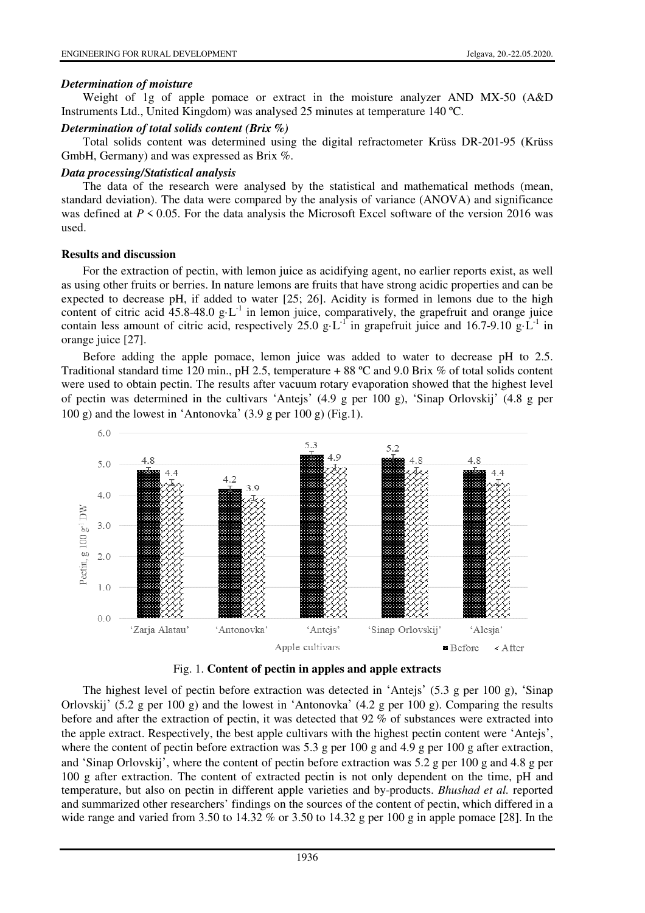#### *Determination of moisture*

Weight of 1g of apple pomace or extract in the moisture analyzer AND MX-50 (A&D Instruments Ltd., United Kingdom) was analysed 25 minutes at temperature 140 ºC.

#### *Determination of total solids content (Brix %)*

Total solids content was determined using the digital refractometer Krüss DR-201-95 (Krüss GmbH, Germany) and was expressed as Brix %.

#### *Data processing/Statistical analysis*

The data of the research were analysed by the statistical and mathematical methods (mean, standard deviation). The data were compared by the analysis of variance (ANOVA) and significance was defined at  $P \le 0.05$ . For the data analysis the Microsoft Excel software of the version 2016 was used.

### **Results and discussion**

For the extraction of pectin, with lemon juice as acidifying agent, no earlier reports exist, as well as using other fruits or berries. In nature lemons are fruits that have strong acidic properties and can be expected to decrease pH, if added to water [25; 26]. Acidity is formed in lemons due to the high content of citric acid 45.8-48.0 g·L<sup>-1</sup> in lemon juice, comparatively, the grapefruit and orange juice contain less amount of citric acid, respectively 25.0 g·L<sup>-1</sup> in grapefruit juice and 16.7-9.10 g·L<sup>-1</sup> in orange juice [27].

Before adding the apple pomace, lemon juice was added to water to decrease pH to 2.5. Traditional standard time 120 min., pH 2.5, temperature + 88 °C and 9.0 Brix % of total solids content were used to obtain pectin. The results after vacuum rotary evaporation showed that the highest level of pectin was determined in the cultivars 'Antejs' (4.9 g per 100 g), 'Sinap Orlovskij' (4.8 g per 100 g) and the lowest in 'Antonovka'  $(3.9 \text{ g per } 100 \text{ g})$  (Fig.1).





The highest level of pectin before extraction was detected in 'Antejs' (5.3 g per 100 g), 'Sinap Orlovskij' (5.2 g per 100 g) and the lowest in 'Antonovka' (4.2 g per 100 g). Comparing the results before and after the extraction of pectin, it was detected that 92 % of substances were extracted into the apple extract. Respectively, the best apple cultivars with the highest pectin content were 'Antejs', where the content of pectin before extraction was 5.3 g per 100 g and 4.9 g per 100 g after extraction, and 'Sinap Orlovskij', where the content of pectin before extraction was 5.2 g per 100 g and 4.8 g per 100 g after extraction. The content of extracted pectin is not only dependent on the time, pH and temperature, but also on pectin in different apple varieties and by-products. *Bhushad et al.* reported and summarized other researchers' findings on the sources of the content of pectin, which differed in a wide range and varied from  $3.50$  to  $14.32 \%$  or  $3.50$  to  $14.32$  g per 100 g in apple pomace [28]. In the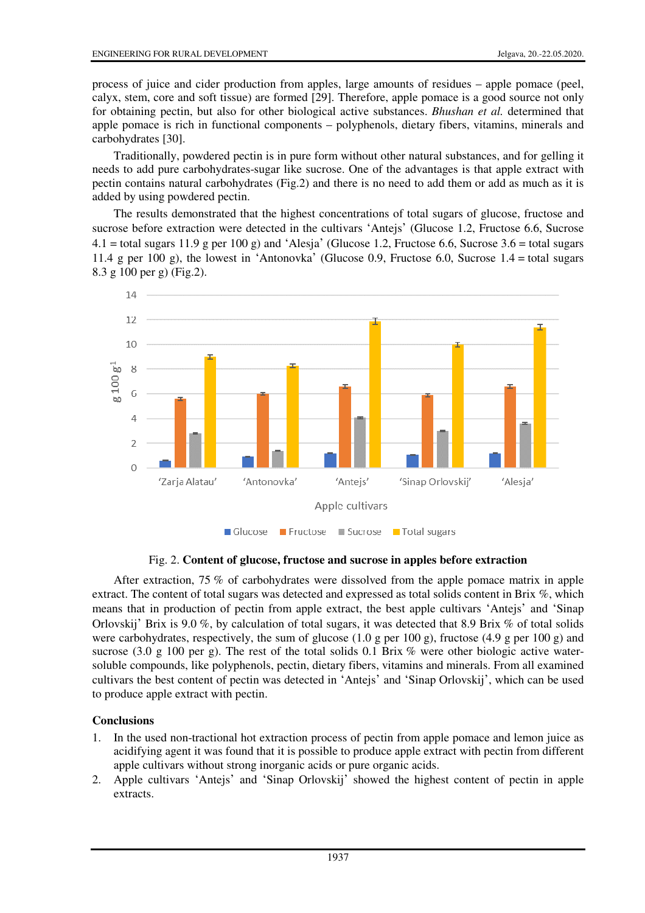process of juice and cider production from apples, large amounts of residues – apple pomace (peel, calyx, stem, core and soft tissue) are formed [29]. Therefore, apple pomace is a good source not only for obtaining pectin, but also for other biological active substances. *Bhushan et al.* determined that apple pomace is rich in functional components – polyphenols, dietary fibers, vitamins, minerals and carbohydrates [30].

Traditionally, powdered pectin is in pure form without other natural substances, and for gelling it needs to add pure carbohydrates-sugar like sucrose. One of the advantages is that apple extract with pectin contains natural carbohydrates (Fig.2) and there is no need to add them or add as much as it is added by using powdered pectin.

The results demonstrated that the highest concentrations of total sugars of glucose, fructose and sucrose before extraction were detected in the cultivars 'Antejs' (Glucose 1.2, Fructose 6.6, Sucrose  $4.1 =$ total sugars 11.9 g per 100 g) and 'Alesja' (Glucose 1.2, Fructose 6.6, Sucrose 3.6 = total sugars 11.4 g per 100 g), the lowest in 'Antonovka' (Glucose 0.9, Fructose 6.0, Sucrose 1.4 = total sugars 8.3 g 100 per g) (Fig.2).



Fig. 2. **Content of glucose, fructose and sucrose in apples before extraction**

After extraction, 75 % of carbohydrates were dissolved from the apple pomace matrix in apple extract. The content of total sugars was detected and expressed as total solids content in Brix %, which means that in production of pectin from apple extract, the best apple cultivars 'Antejs' and 'Sinap Orlovskij' Brix is 9.0 %, by calculation of total sugars, it was detected that 8.9 Brix % of total solids were carbohydrates, respectively, the sum of glucose (1.0 g per 100 g), fructose (4.9 g per 100 g) and sucrose (3.0 g 100 per g). The rest of the total solids 0.1 Brix  $\%$  were other biologic active watersoluble compounds, like polyphenols, pectin, dietary fibers, vitamins and minerals. From all examined cultivars the best content of pectin was detected in 'Antejs' and 'Sinap Orlovskij', which can be used to produce apple extract with pectin.

# **Conclusions**

- 1. In the used non-tractional hot extraction process of pectin from apple pomace and lemon juice as acidifying agent it was found that it is possible to produce apple extract with pectin from different apple cultivars without strong inorganic acids or pure organic acids.
- 2. Apple cultivars 'Antejs' and 'Sinap Orlovskij' showed the highest content of pectin in apple extracts.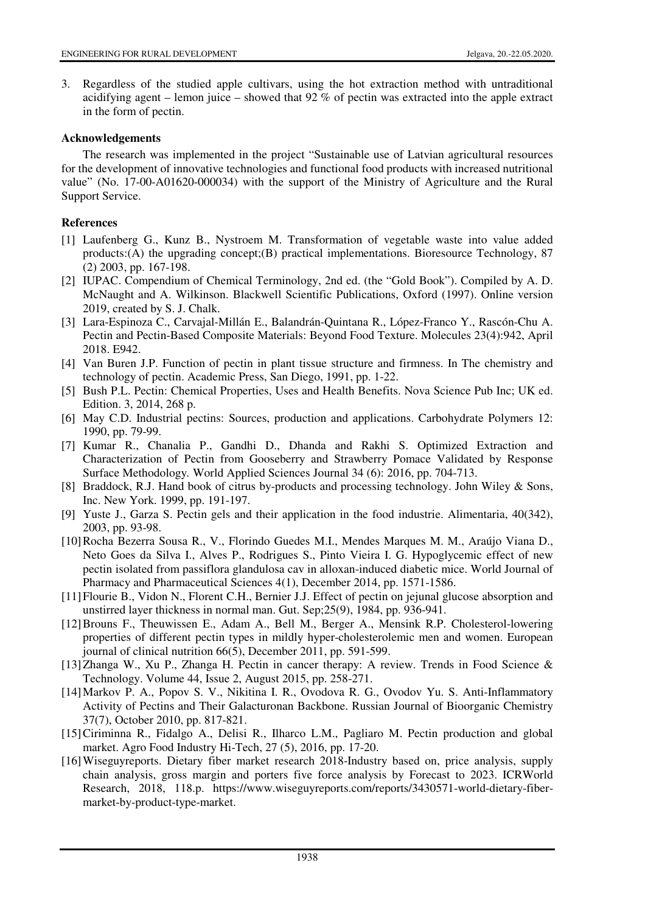3. Regardless of the studied apple cultivars, using the hot extraction method with untraditional acidifying agent – lemon juice – showed that 92 % of pectin was extracted into the apple extract in the form of pectin.

#### **Acknowledgements**

The research was implemented in the project "Sustainable use of Latvian agricultural resources for the development of innovative technologies and functional food products with increased nutritional value" (No. 17-00-A01620-000034) with the support of the Ministry of Agriculture and the Rural Support Service.

## **References**

- [1] Laufenberg G., Kunz B., Nystroem M. Transformation of vegetable waste into value added products:(A) the upgrading concept;(B) practical implementations. Bioresource Technology, 87 (2) 2003, pp. 167-198.
- [2] IUPAC. Compendium of Chemical Terminology, 2nd ed. (the "Gold Book"). Compiled by A. D. McNaught and A. Wilkinson. Blackwell Scientific Publications, Oxford (1997). Online version 2019, created by S. J. Chalk.
- [3] Lara-Espinoza C., Carvajal-Millán E., Balandrán-Quintana R., López-Franco Y., Rascón-Chu A. Pectin and Pectin-Based Composite Materials: Beyond Food Texture. Molecules 23(4):942, April 2018. E942.
- [4] Van Buren J.P. Function of pectin in plant tissue structure and firmness. In The chemistry and technology of pectin. Academic Press, San Diego, 1991, pp. 1-22.
- [5] Bush P.L. Pectin: Chemical Properties, Uses and Health Benefits. Nova Science Pub Inc; UK ed. Edition. 3, 2014, 268 p.
- [6] May C.D. Industrial pectins: Sources, production and applications. Carbohydrate Polymers 12: 1990, pp. 79-99.
- [7] Kumar R., Chanalia P., Gandhi D., Dhanda and Rakhi S. Optimized Extraction and Characterization of Pectin from Gooseberry and Strawberry Pomace Validated by Response Surface Methodology*.* World Applied Sciences Journal 34 (6): 2016, pp. 704-713.
- [8] Braddock, R.J. Hand book of citrus by-products and processing technology. John Wiley & Sons, Inc. New York. 1999, pp. 191-197.
- [9] Yuste J., Garza S. Pectin gels and their application in the food industrie. Alimentaria, 40(342), 2003, pp. 93-98.
- [10] Rocha Bezerra Sousa R., V., Florindo Guedes M.I., Mendes Marques M. M., Araújo Viana D., Neto Goes da Silva I., Alves P., Rodrigues S., Pinto Vieira I. G. Hypoglycemic effect of new pectin isolated from passiflora glandulosa cav in alloxan-induced diabetic mice. World Journal of Pharmacy and Pharmaceutical Sciences 4(1), December 2014, pp. 1571-1586.
- [11] Flourie B., Vidon N., Florent C.H., Bernier J.J. Effect of pectin on jejunal glucose absorption and unstirred layer thickness in normal man. Gut. Sep;25(9), 1984, pp. 936-941.
- [12] Brouns F., Theuwissen E., Adam A., Bell M., Berger A., Mensink R.P. Cholesterol-lowering properties of different pectin types in mildly hyper-cholesterolemic men and women. European journal of clinical nutrition 66(5), December 2011, pp. 591-599.
- [13] Zhanga W., Xu P., Zhanga H. Pectin in cancer therapy: A review. Trends in Food Science & Technology. Volume 44, Issue 2, August 2015, pp. 258-271.
- [14] Markov P. A., Popov S. V., Nikitina I. R., Ovodova R. G., Ovodov Yu. S. Anti-Inflammatory Activity of Pectins and Their Galacturonan Backbone. Russian Journal of Bioorganic Chemistry 37(7), October 2010, pp. 817-821.
- [15] Ciriminna R., Fidalgo A., Delisi R., Ilharco L.M., Pagliaro M. Pectin production and global market. Agro Food Industry Hi-Tech, 27 (5), 2016, pp. 17-20.
- [16] Wiseguyreports. Dietary fiber market research 2018-Industry based on, price analysis, supply chain analysis, gross margin and porters five force analysis by Forecast to 2023. ICRWorld Research, 2018, 118.p. https://www.wiseguyreports.com/reports/3430571-world-dietary-fibermarket-by-product-type-market.